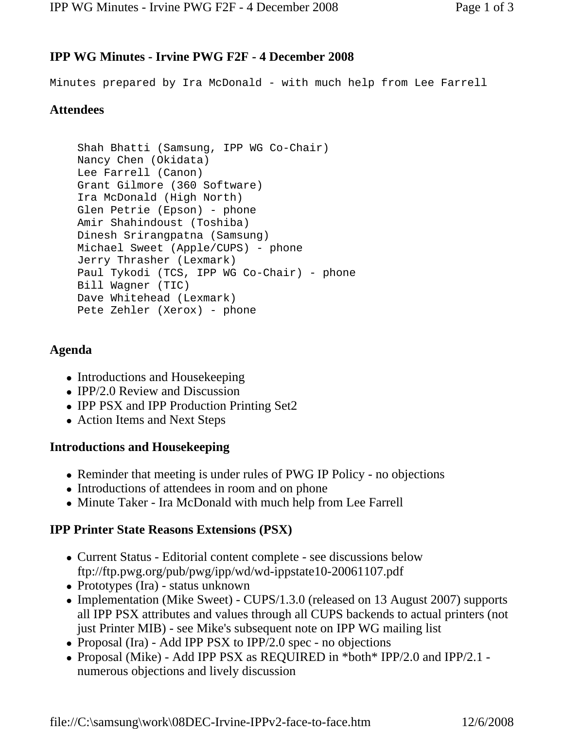# **IPP WG Minutes - Irvine PWG F2F - 4 December 2008**

Minutes prepared by Ira McDonald - with much help from Lee Farrell

# **Attendees**

```
Shah Bhatti (Samsung, IPP WG Co-Chair) 
Nancy Chen (Okidata) 
Lee Farrell (Canon) 
Grant Gilmore (360 Software) 
Ira McDonald (High North) 
Glen Petrie (Epson) - phone 
Amir Shahindoust (Toshiba) 
Dinesh Srirangpatna (Samsung) 
Michael Sweet (Apple/CUPS) - phone 
Jerry Thrasher (Lexmark) 
Paul Tykodi (TCS, IPP WG Co-Chair) - phone 
Bill Wagner (TIC) 
Dave Whitehead (Lexmark) 
Pete Zehler (Xerox) - phone
```
#### **Agenda**

- Introductions and Housekeeping
- $\bullet$  IPP/2.0 Review and Discussion
- IPP PSX and IPP Production Printing Set2
- Action Items and Next Steps

#### **Introductions and Housekeeping**

- Reminder that meeting is under rules of PWG IP Policy no objections
- Introductions of attendees in room and on phone
- Minute Taker Ira McDonald with much help from Lee Farrell

## **IPP Printer State Reasons Extensions (PSX)**

- Current Status Editorial content complete see discussions below ftp://ftp.pwg.org/pub/pwg/ipp/wd/wd-ippstate10-20061107.pdf
- Prototypes (Ira) status unknown
- Implementation (Mike Sweet) CUPS/1.3.0 (released on 13 August 2007) supports all IPP PSX attributes and values through all CUPS backends to actual printers (not just Printer MIB) - see Mike's subsequent note on IPP WG mailing list
- Proposal (Ira) Add IPP PSX to IPP/2.0 spec no objections
- Proposal (Mike) Add IPP PSX as REQUIRED in \*both\* IPP/2.0 and IPP/2.1 numerous objections and lively discussion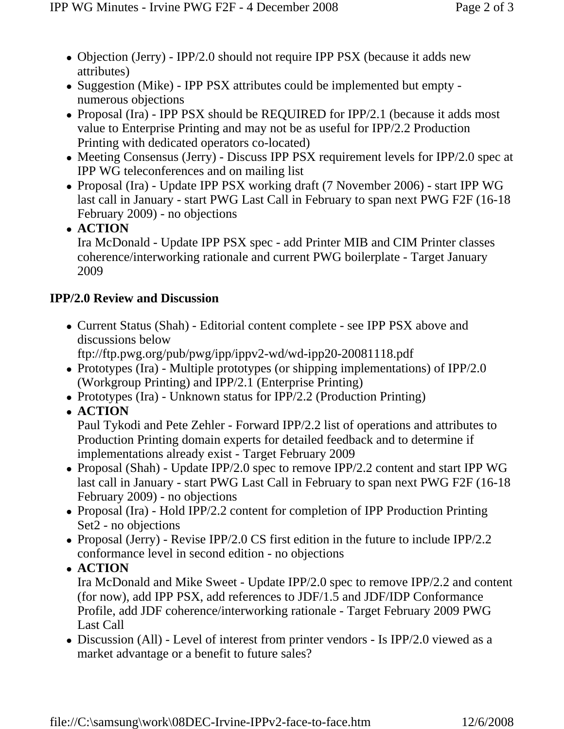- Objection (Jerry) IPP/2.0 should not require IPP PSX (because it adds new attributes)
- Suggestion (Mike) IPP PSX attributes could be implemented but empty numerous objections
- Proposal (Ira) IPP PSX should be REQUIRED for IPP/2.1 (because it adds most value to Enterprise Printing and may not be as useful for IPP/2.2 Production Printing with dedicated operators co-located)
- Meeting Consensus (Jerry) Discuss IPP PSX requirement levels for IPP/2.0 spec at IPP WG teleconferences and on mailing list
- Proposal (Ira) Update IPP PSX working draft (7 November 2006) start IPP WG last call in January - start PWG Last Call in February to span next PWG F2F (16-18 February 2009) - no objections
- <sup>z</sup> **ACTION**

Ira McDonald - Update IPP PSX spec - add Printer MIB and CIM Printer classes coherence/interworking rationale and current PWG boilerplate - Target January 2009

## **IPP/2.0 Review and Discussion**

• Current Status (Shah) - Editorial content complete - see IPP PSX above and discussions below

ftp://ftp.pwg.org/pub/pwg/ipp/ippv2-wd/wd-ipp20-20081118.pdf

- Prototypes (Ira) Multiple prototypes (or shipping implementations) of  $IPP/2.0$ (Workgroup Printing) and IPP/2.1 (Enterprise Printing)
- Prototypes (Ira) Unknown status for IPP/2.2 (Production Printing)

<sup>z</sup> **ACTION**

Paul Tykodi and Pete Zehler - Forward IPP/2.2 list of operations and attributes to Production Printing domain experts for detailed feedback and to determine if implementations already exist - Target February 2009

- Proposal (Shah) Update IPP/2.0 spec to remove IPP/2.2 content and start IPP WG last call in January - start PWG Last Call in February to span next PWG F2F (16-18 February 2009) - no objections
- Proposal (Ira) Hold IPP/2.2 content for completion of IPP Production Printing Set2 - no objections
- Proposal (Jerry) Revise IPP/2.0 CS first edition in the future to include IPP/2.2 conformance level in second edition - no objections

<sup>z</sup> **ACTION**

Ira McDonald and Mike Sweet - Update IPP/2.0 spec to remove IPP/2.2 and content (for now), add IPP PSX, add references to JDF/1.5 and JDF/IDP Conformance Profile, add JDF coherence/interworking rationale - Target February 2009 PWG Last Call

• Discussion (All) - Level of interest from printer vendors - Is IPP/2.0 viewed as a market advantage or a benefit to future sales?